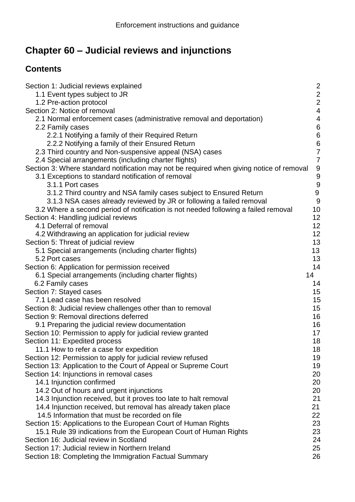# **Chapter 60 – Judicial reviews and injunctions**

# **Contents**

| Section 1: Judicial reviews explained                                                      | $\overline{\mathbf{c}}$                    |
|--------------------------------------------------------------------------------------------|--------------------------------------------|
| 1.1 Event types subject to JR                                                              | $\begin{array}{c} 2 \\ 2 \\ 4 \end{array}$ |
| 1.2 Pre-action protocol                                                                    |                                            |
| Section 2: Notice of removal                                                               |                                            |
| 2.1 Normal enforcement cases (administrative removal and deportation)                      | 4                                          |
| 2.2 Family cases                                                                           | $\boldsymbol{6}$                           |
| 2.2.1 Notifying a family of their Required Return                                          | $\overline{6}$                             |
| 2.2.2 Notifying a family of their Ensured Return                                           | $\frac{6}{7}$                              |
| 2.3 Third country and Non-suspensive appeal (NSA) cases                                    |                                            |
| 2.4 Special arrangements (including charter flights)                                       | $\overline{7}$                             |
| Section 3: Where standard notification may not be required when giving notice of removal   | 9                                          |
| 3.1 Exceptions to standard notification of removal                                         | 9                                          |
| 3.1.1 Port cases                                                                           | $\begin{array}{c} 9 \\ 9 \end{array}$      |
| 3.1.2 Third country and NSA family cases subject to Ensured Return                         |                                            |
| 3.1.3 NSA cases already reviewed by JR or following a failed removal                       | 9                                          |
| 3.2 Where a second period of notification is not needed following a failed removal         | 10                                         |
| Section 4: Handling judicial reviews                                                       | 12                                         |
| 4.1 Deferral of removal                                                                    | 12                                         |
| 4.2 Withdrawing an application for judicial review                                         | 12                                         |
| Section 5: Threat of judicial review                                                       | 13                                         |
| 5.1 Special arrangements (including charter flights)                                       | 13                                         |
| 5.2 Port cases                                                                             | 13                                         |
| Section 6: Application for permission received                                             | 14                                         |
| 6.1 Special arrangements (including charter flights)                                       | 14                                         |
| 6.2 Family cases                                                                           | 14                                         |
| Section 7: Stayed cases                                                                    | 15                                         |
| 7.1 Lead case has been resolved                                                            | 15                                         |
| Section 8: Judicial review challenges other than to removal                                | 15                                         |
| Section 9: Removal directions deferred                                                     | 16                                         |
| 9.1 Preparing the judicial review documentation                                            | 16                                         |
| Section 10: Permission to apply for judicial review granted                                | 17                                         |
| Section 11: Expedited process                                                              | 18                                         |
| 11.1 How to refer a case for expedition                                                    | 18                                         |
| Section 12: Permission to apply for judicial review refused                                | 19                                         |
| Section 13: Application to the Court of Appeal or Supreme Court                            | 19                                         |
| Section 14: Injunctions in removal cases                                                   | 20                                         |
| 14.1 Injunction confirmed                                                                  | 20                                         |
| 14.2 Out of hours and urgent injunctions                                                   | 20                                         |
| 14.3 Injunction received, but it proves too late to halt removal                           | 21                                         |
| 14.4 Injunction received, but removal has already taken place                              | 21                                         |
| 14.5 Information that must be recorded on file                                             | 22                                         |
| Section 15: Applications to the European Court of Human Rights                             | 23                                         |
| 15.1 Rule 39 indications from the European Court of Human Rights                           | 23                                         |
| Section 16: Judicial review in Scotland<br>Section 17: Judicial review in Northern Ireland | 24                                         |
|                                                                                            | 25                                         |
| Section 18: Completing the Immigration Factual Summary                                     | 26                                         |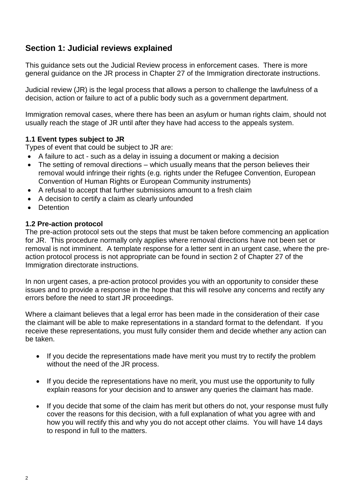# <span id="page-1-0"></span>**Section 1: Judicial reviews explained**

This guidance sets out the Judicial Review process in enforcement cases. There is more general guidance on the JR process in Chapter 27 of the Immigration directorate instructions.

Judicial review (JR) is the legal process that allows a person to challenge the lawfulness of a decision, action or failure to act of a public body such as a government department.

Immigration removal cases, where there has been an asylum or human rights claim, should not usually reach the stage of JR until after they have had access to the appeals system.

#### <span id="page-1-1"></span>**1.1 Event types subject to JR**

Types of event that could be subject to JR are:

- A failure to act such as a delay in issuing a document or making a decision
- The setting of removal directions which usually means that the person believes their removal would infringe their rights (e.g. rights under the Refugee Convention, European Convention of Human Rights or European Community instruments)
- A refusal to accept that further submissions amount to a fresh claim
- A decision to certify a claim as clearly unfounded
- Detention

#### <span id="page-1-2"></span>**1.2 Pre-action protocol**

The pre-action protocol sets out the steps that must be taken before commencing an application for JR. This procedure normally only applies where removal directions have not been set or removal is not imminent. A template response for a letter sent in an urgent case, where the preaction protocol process is not appropriate can be found in section 2 of Chapter 27 of the Immigration directorate instructions.

In non urgent cases, a pre-action protocol provides you with an opportunity to consider these issues and to provide a response in the hope that this will resolve any concerns and rectify any errors before the need to start JR proceedings.

Where a claimant believes that a legal error has been made in the consideration of their case the claimant will be able to make representations in a standard format to the defendant. If you receive these representations, you must fully consider them and decide whether any action can be taken.

- If you decide the representations made have merit you must try to rectify the problem without the need of the JR process.
- If you decide the representations have no merit, you must use the opportunity to fully explain reasons for your decision and to answer any queries the claimant has made.
- If you decide that some of the claim has merit but others do not, your response must fully cover the reasons for this decision, with a full explanation of what you agree with and how you will rectify this and why you do not accept other claims. You will have 14 days to respond in full to the matters.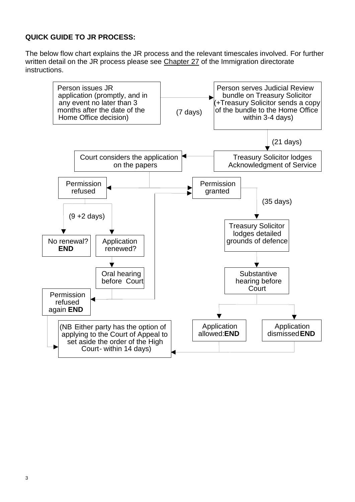### **QUICK GUIDE TO JR PROCESS:**

The below flow chart explains the JR process and the relevant timescales involved. For further written detail on the JR process please see [Chapter 27](http://horizon.gws.gsi.gov.uk/portal/site/horizon-intranet/menuitem.317ac56a071f9f3a43757f10466b8a0c/?vgnextoid=df106fa9b7c4c110VgnVCM10000064b6a8c0RCRD) of the Immigration directorate instructions.

<span id="page-2-0"></span>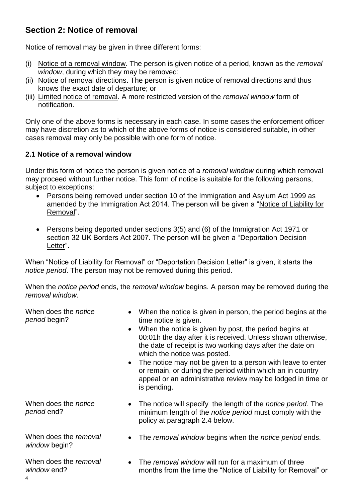# **Section 2: Notice of removal**

Notice of removal may be given in three different forms:

- (i) Notice of a removal window. The person is given notice of a period, known as the *removal window*, during which they may be removed;
- (ii) Notice of removal directions. The person is given notice of removal directions and thus knows the exact date of departure; or
- (iii) Limited notice of removal. A more restricted version of the *removal window* form of notification.

Only one of the above forms is necessary in each case. In some cases the enforcement officer may have discretion as to which of the above forms of notice is considered suitable, in other cases removal may only be possible with one form of notice.

## **2.1 Notice of a removal window**

Under this form of notice the person is given notice of a *removal window* during which removal may proceed without further notice. This form of notice is suitable for the following persons, subject to exceptions:

- Persons being removed under section 10 of the Immigration and Asylum Act 1999 as amended by the Immigration Act 2014. The person will be given a "Notice of Liability for Removal".
- Persons being deported under sections 3(5) and (6) of the Immigration Act 1971 or section 32 UK Borders Act 2007. The person will be given a "Deportation Decision Letter".

When "Notice of Liability for Removal" or "Deportation Decision Letter" is given, it starts the *notice period*. The person may not be removed during this period.

When the *notice period* ends, the *removal window* begins. A person may be removed during the *removal window*.

| When does the <i>notice</i><br>period begin? | • When the notice is given in person, the period begins at the<br>time notice is given.<br>When the notice is given by post, the period begins at<br>$\bullet$<br>00:01h the day after it is received. Unless shown otherwise,<br>the date of receipt is two working days after the date on<br>which the notice was posted.<br>The notice may not be given to a person with leave to enter<br>$\bullet$<br>or remain, or during the period within which an in country<br>appeal or an administrative review may be lodged in time or<br>is pending. |
|----------------------------------------------|-----------------------------------------------------------------------------------------------------------------------------------------------------------------------------------------------------------------------------------------------------------------------------------------------------------------------------------------------------------------------------------------------------------------------------------------------------------------------------------------------------------------------------------------------------|
| When does the <i>notice</i><br>period end?   | The notice will specify the length of the <i>notice period</i> . The<br>$\bullet$<br>minimum length of the <i>notice period</i> must comply with the<br>policy at paragraph 2.4 below.                                                                                                                                                                                                                                                                                                                                                              |
| When does the removal<br>window begin?       | • The removal window begins when the notice period ends.                                                                                                                                                                                                                                                                                                                                                                                                                                                                                            |
| When does the removal<br>window end?<br>4    | • The removal window will run for a maximum of three<br>months from the time the "Notice of Liability for Removal" or                                                                                                                                                                                                                                                                                                                                                                                                                               |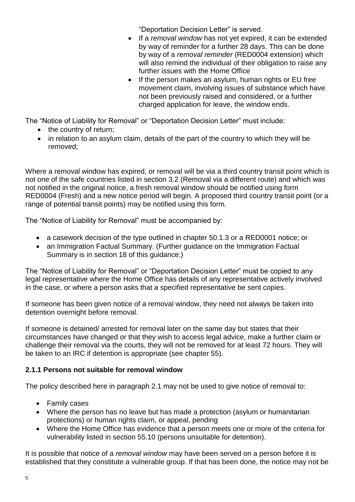"Deportation Decision Letter" is served.

- If a *removal window* has not yet expired, it can be extended by way of reminder for a further 28 days. This can be done by way of a *removal reminder* (RED0004 extension) which will also remind the individual of their obligation to raise any further issues with the Home Office
- If the person makes an asylum, human rights or EU free movement claim, involving issues of substance which have not been previously raised and considered, or a further charged application for leave, the window ends.

The "Notice of Liability for Removal" or "Deportation Decision Letter" must include:

- the country of return;
- in relation to an asylum claim, details of the part of the country to which they will be removed;

Where a removal window has expired, or removal will be via a third country transit point which is not one of the safe countries listed in section 3.2 (Removal via a different route) and which was not notified in the original notice, a fresh removal window should be notified using form RED0004 (Fresh) and a new notice period will begin. A proposed third country transit point (or a range of potential transit points) may be notified using this form.

The "Notice of Liability for Removal" must be accompanied by:

- a casework decision of the type outlined in chapter 50.1.3 or a RED0001 notice; or
- an Immigration Factual Summary. (Further guidance on the Immigration Factual Summary is in section 18 of this guidance.)

The "Notice of Liability for Removal" or "Deportation Decision Letter" must be copied to any legal representative where the Home Office has details of any representative actively involved in the case, or where a person asks that a specified representative be sent copies.

If someone has been given notice of a removal window, they need not always be taken into detention overnight before removal.

If someone is detained/ arrested for removal later on the same day but states that their circumstances have changed or that they wish to access legal advice, make a further claim or challenge their removal via the courts, they will not be removed for at least 72 hours. They will be taken to an IRC if detention is appropriate (see chapter 55).

# **2.1.1 Persons not suitable for removal window**

The policy described here in paragraph 2.1 may not be used to give notice of removal to:

- Family cases
- Where the person has no leave but has made a protection (asylum or humanitarian protections) or human rights claim, or appeal, pending
- Where the Home Office has evidence that a person meets one or more of the criteria for vulnerability listed in section 55.10 (persons unsuitable for detention).

It is possible that notice of a *removal window* may have been served on a person before it is established that they constitute a vulnerable group. If that has been done, the notice may not be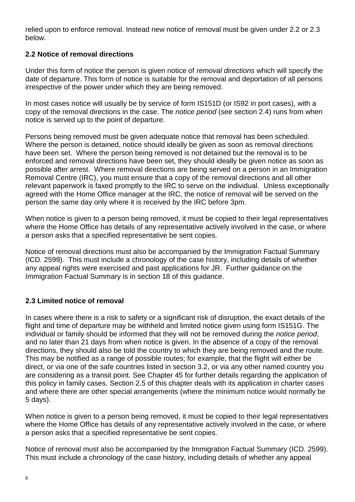relied upon to enforce removal. Instead new notice of removal must be given under 2.2 or 2.3 below.

### **2.2 Notice of removal directions**

Under this form of notice the person is given notice of *removal directions* which will specify the date of departure. This form of notice is suitable for the removal and deportation of all persons irrespective of the power under which they are being removed.

In most cases notice will usually be by service of form IS151D (or IS92 in port cases), with a copy of the removal directions in the case. The *notice period* (see section 2.4) runs from when notice is served up to the point of departure.

Persons being removed must be given adequate notice that removal has been scheduled. Where the person is detained, notice should ideally be given as soon as removal directions have been set. Where the person being removed is not detained but the removal is to be enforced and removal directions have been set, they should ideally be given notice as soon as possible after arrest. Where removal directions are being served on a person in an Immigration Removal Centre (IRC), you must ensure that a copy of the removal directions and all other relevant paperwork is faxed promptly to the IRC to serve on the individual. Unless exceptionally agreed with the Home Office manager at the IRC, the notice of removal will be served on the person the same day only where it is received by the IRC before 3pm.

When notice is given to a person being removed, it must be copied to their legal representatives where the Home Office has details of any representative actively involved in the case, or where a person asks that a specified representative be sent copies.

Notice of removal directions must also be accompanied by the Immigration Factual Summary (ICD. 2599). This must include a chronology of the case history, including details of whether any appeal rights were exercised and past applications for JR. Further guidance on the Immigration Factual Summary is in section 18 of this guidance.

### **2.3 Limited notice of removal**

In cases where there is a risk to safety or a significant risk of disruption, the exact details of the flight and time of departure may be withheld and limited notice given using form IS151G. The individual or family should be informed that they will not be removed during the *notice period*, and no later than 21 days from when notice is given. In the absence of a copy of the removal directions, they should also be told the country to which they are being removed and the route. This may be notified as a range of possible routes; for example, that the flight will either be direct, or via one of the safe countries listed in section 3.2, or via any other named country you are considering as a transit point. See Chapter 45 for further details regarding the application of this policy in family cases. Section 2.5 of this chapter deals with its application in charter cases and where there are other special arrangements (where the minimum notice would normally be 5 days).

When notice is given to a person being removed, it must be copied to their legal representatives where the Home Office has details of any representative actively involved in the case, or where a person asks that a specified representative be sent copies.

Notice of removal must also be accompanied by the Immigration Factual Summary (ICD. 2599). This must include a chronology of the case history, including details of whether any appeal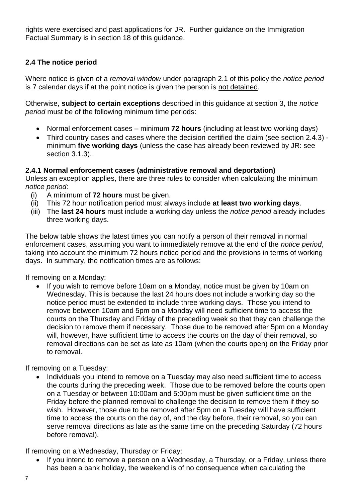rights were exercised and past applications for JR. Further guidance on the Immigration Factual Summary is in section 18 of this guidance.

## **2.4 The notice period**

Where notice is given of a *removal window* under paragraph 2.1 of this policy the *notice period* is 7 calendar days if at the point notice is given the person is not detained.

Otherwise, **subject to certain exceptions** described in this guidance at section 3, the *notice period* must be of the following minimum time periods:

- Normal enforcement cases minimum **72 hours** (including at least two working days)
- Third country cases and cases where the decision certified the claim (see section 2.4.3) minimum **five working days** (unless the case has already been reviewed by JR: see section 3.1.3).

### <span id="page-6-0"></span>**2.4.1 Normal enforcement cases (administrative removal and deportation)**

Unless an exception applies, there are three rules to consider when calculating the minimum *notice period*:

- (i) A minimum of **72 hours** must be given.
- (ii) This 72 hour notification period must always include **at least two working days**.
- (iii) The **last 24 hours** must include a working day unless the *notice period* already includes three working days.

The below table shows the latest times you can notify a person of their removal in normal enforcement cases, assuming you want to immediately remove at the end of the *notice period*, taking into account the minimum 72 hours notice period and the provisions in terms of working days. In summary, the notification times are as follows:

If removing on a Monday:

 If you wish to remove before 10am on a Monday, notice must be given by 10am on Wednesday. This is because the last 24 hours does not include a working day so the notice period must be extended to include three working days. Those you intend to remove between 10am and 5pm on a Monday will need sufficient time to access the courts on the Thursday and Friday of the preceding week so that they can challenge the decision to remove them if necessary. Those due to be removed after 5pm on a Monday will, however, have sufficient time to access the courts on the day of their removal, so removal directions can be set as late as 10am (when the courts open) on the Friday prior to removal.

If removing on a Tuesday:

 Individuals you intend to remove on a Tuesday may also need sufficient time to access the courts during the preceding week. Those due to be removed before the courts open on a Tuesday or between 10:00am and 5:00pm must be given sufficient time on the Friday before the planned removal to challenge the decision to remove them if they so wish. However, those due to be removed after 5pm on a Tuesday will have sufficient time to access the courts on the day of, and the day before, their removal, so you can serve removal directions as late as the same time on the preceding Saturday (72 hours before removal).

If removing on a Wednesday, Thursday or Friday:

 If you intend to remove a person on a Wednesday, a Thursday, or a Friday, unless there has been a bank holiday, the weekend is of no consequence when calculating the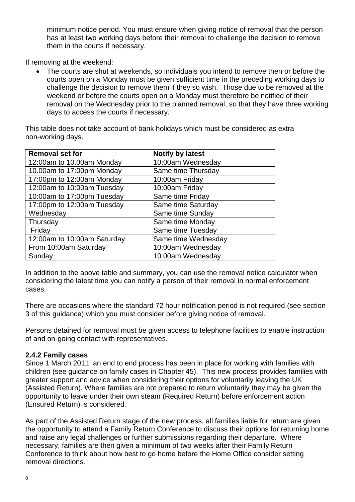minimum notice period. You must ensure when giving notice of removal that the person has at least two working days before their removal to challenge the decision to remove them in the courts if necessary.

If removing at the weekend:

 The courts are shut at weekends, so individuals you intend to remove then or before the courts open on a Monday must be given sufficient time in the preceding working days to challenge the decision to remove them if they so wish. Those due to be removed at the weekend or before the courts open on a Monday must therefore be notified of their removal on the Wednesday prior to the planned removal, so that they have three working days to access the courts if necessary.

This table does not take account of bank holidays which must be considered as extra non-working days.

| <b>Removal set for</b>      | <b>Notify by latest</b> |
|-----------------------------|-------------------------|
| 12:00am to 10.00am Monday   | 10:00am Wednesday       |
| 10.00am to 17:00pm Monday   | Same time Thursday      |
| 17:00pm to 12:00am Monday   | 10:00am Friday          |
| 12:00am to 10:00am Tuesday  | 10:00am Friday          |
| 10:00am to 17:00pm Tuesday  | Same time Friday        |
| 17:00pm to 12:00am Tuesday  | Same time Saturday      |
| Wednesday                   | Same time Sunday        |
| Thursday                    | Same time Monday        |
| Friday                      | Same time Tuesday       |
| 12:00am to 10:00am Saturday | Same time Wednesday     |
| From 10:00am Saturday       | 10:00am Wednesday       |
| Sunday                      | 10:00am Wednesday       |

In addition to the above table and summary, you can use the removal notice calculator when considering the latest time you can notify a person of their removal in normal enforcement cases.

There are occasions where the standard 72 hour notification period is not required (see section 3 of this guidance) which you must consider before giving notice of removal.

Persons detained for removal must be given access to telephone facilities to enable instruction of and on-going contact with representatives.

### **2.4.2 Family cases**

Since 1 March 2011, an end to end process has been in place for working with families with children (see guidance on family cases in Chapter 45). This new process provides families with greater support and advice when considering their options for voluntarily leaving the UK (Assisted Return). Where families are not prepared to return voluntarily they may be given the opportunity to leave under their own steam (Required Return) before enforcement action (Ensured Return) is considered.

As part of the Assisted Return stage of the new process, all families liable for return are given the opportunity to attend a Family Return Conference to discuss their options for returning home and raise any legal challenges or further submissions regarding their departure. Where necessary, families are then given a minimum of two weeks after their Family Return Conference to think about how best to go home before the Home Office consider setting removal directions.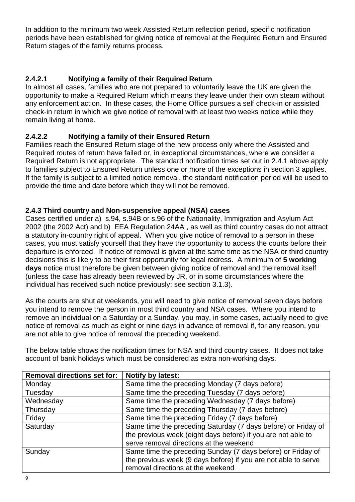In addition to the minimum two week Assisted Return reflection period, specific notification periods have been established for giving notice of removal at the Required Return and Ensured Return stages of the family returns process.

# <span id="page-8-0"></span>**2.4.2.1 Notifying a family of their Required Return**

In almost all cases, families who are not prepared to voluntarily leave the UK are given the opportunity to make a Required Return which means they leave under their own steam without any enforcement action. In these cases, the Home Office pursues a self check-in or assisted check-in return in which we give notice of removal with at least two weeks notice while they remain living at home.

## <span id="page-8-1"></span>**2.4.2.2 Notifying a family of their Ensured Return**

Families reach the Ensured Return stage of the new process only where the Assisted and Required routes of return have failed or, in exceptional circumstances, where we consider a Required Return is not appropriate. The standard notification times set out in 2.4.1 above apply to families subject to Ensured Return unless one or more of the exceptions in section 3 applies. If the family is subject to a limited notice removal, the standard notification period will be used to provide the time and date before which they will not be removed.

### <span id="page-8-2"></span>**2.4.3 Third country and Non-suspensive appeal (NSA) cases**

Cases certified under a) s.94, s.94B or s.96 of the Nationality, Immigration and Asylum Act 2002 (the 2002 Act) and b) EEA Regulation 24AA , as well as third country cases do not attract a statutory in-country right of appeal. When you give notice of removal to a person in these cases, you must satisfy yourself that they have the opportunity to access the courts before their departure is enforced. If notice of removal is given at the same time as the NSA or third country decisions this is likely to be their first opportunity for legal redress. A minimum of **5 working days** notice must therefore be given between giving notice of removal and the removal itself (unless the case has already been reviewed by JR, or in some circumstances where the individual has received such notice previously: see section 3.1.3).

As the courts are shut at weekends, you will need to give notice of removal seven days before you intend to remove the person in most third country and NSA cases. Where you intend to remove an individual on a Saturday or a Sunday, you may, in some cases, actually need to give notice of removal as much as eight or nine days in advance of removal if, for any reason, you are not able to give notice of removal the preceding weekend.

The below table shows the notification times for NSA and third country cases. It does not take account of bank holidays which must be considered as extra non-working days.

<span id="page-8-3"></span>

| <b>Removal directions set for:</b> | <b>Notify by latest:</b>                                       |  |  |
|------------------------------------|----------------------------------------------------------------|--|--|
| Monday                             | Same time the preceding Monday (7 days before)                 |  |  |
| Tuesday                            | Same time the preceding Tuesday (7 days before)                |  |  |
| Wednesday                          | Same time the preceding Wednesday (7 days before)              |  |  |
| Thursday                           | Same time the preceding Thursday (7 days before)               |  |  |
| Friday                             | Same time the preceding Friday (7 days before)                 |  |  |
| Saturday                           | Same time the preceding Saturday (7 days before) or Friday of  |  |  |
|                                    | the previous week (eight days before) if you are not able to   |  |  |
|                                    | serve removal directions at the weekend                        |  |  |
| Sunday                             | Same time the preceding Sunday (7 days before) or Friday of    |  |  |
|                                    | the previous week (9 days before) if you are not able to serve |  |  |
|                                    | removal directions at the weekend                              |  |  |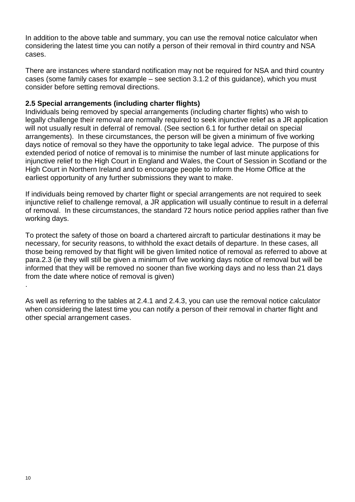In addition to the above table and summary, you can use the removal notice calculator when considering the latest time you can notify a person of their removal in third country and NSA cases.

There are instances where standard notification may not be required for NSA and third country cases (some family cases for example – see section 3.1.2 of this guidance), which you must consider before setting removal directions.

#### **2.5 Special arrangements (including charter flights)**

Individuals being removed by special arrangements (including charter flights) who wish to legally challenge their removal are normally required to seek injunctive relief as a JR application will not usually result in deferral of removal. (See section 6.1 for further detail on special arrangements). In these circumstances, the person will be given a minimum of five working days notice of removal so they have the opportunity to take legal advice. The purpose of this extended period of notice of removal is to minimise the number of last minute applications for injunctive relief to the High Court in England and Wales, the Court of Session in Scotland or the High Court in Northern Ireland and to encourage people to inform the Home Office at the earliest opportunity of any further submissions they want to make.

If individuals being removed by charter flight or special arrangements are not required to seek injunctive relief to challenge removal, a JR application will usually continue to result in a deferral of removal. In these circumstances, the standard 72 hours notice period applies rather than five working days.

To protect the safety of those on board a chartered aircraft to particular destinations it may be necessary, for security reasons, to withhold the exact details of departure. In these cases, all those being removed by that flight will be given limited notice of removal as referred to above at para.2.3 (ie they will still be given a minimum of five working days notice of removal but will be informed that they will be removed no sooner than five working days and no less than 21 days from the date where notice of removal is given)

<span id="page-9-0"></span>As well as referring to the tables at 2.4.1 and 2.4.3, you can use the removal notice calculator when considering the latest time you can notify a person of their removal in charter flight and other special arrangement cases.

.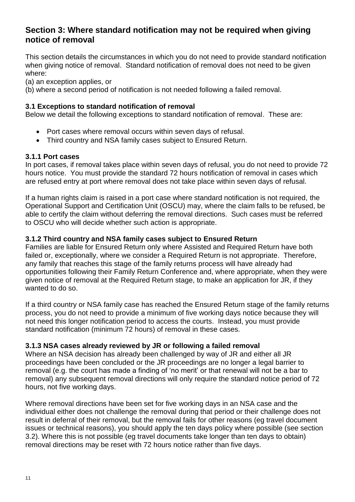# **Section 3: Where standard notification may not be required when giving notice of removal**

This section details the circumstances in which you do not need to provide standard notification when giving notice of removal. Standard notification of removal does not need to be given where:

(a) an exception applies, or

(b) where a second period of notification is not needed following a failed removal.

### <span id="page-10-0"></span>**3.1 Exceptions to standard notification of removal**

Below we detail the following exceptions to standard notification of removal. These are:

- Port cases where removal occurs within seven days of refusal.
- Third country and NSA family cases subject to Ensured Return.

#### <span id="page-10-1"></span>**3.1.1 Port cases**

In port cases, if removal takes place within seven days of refusal, you do not need to provide 72 hours notice. You must provide the standard 72 hours notification of removal in cases which are refused entry at port where removal does not take place within seven days of refusal.

If a human rights claim is raised in a port case where standard notification is not required, the Operational Support and Certification Unit (OSCU) may, where the claim falls to be refused, be able to certify the claim without deferring the removal directions. Such cases must be referred to OSCU who will decide whether such action is appropriate.

### <span id="page-10-2"></span>**3.1.2 Third country and NSA family cases subject to Ensured Return**

Families are liable for Ensured Return only where Assisted and Required Return have both failed or, exceptionally, where we consider a Required Return is not appropriate. Therefore, any family that reaches this stage of the family returns process will have already had opportunities following their Family Return Conference and, where appropriate, when they were given notice of removal at the Required Return stage, to make an application for JR, if they wanted to do so.

If a third country or NSA family case has reached the Ensured Return stage of the family returns process, you do not need to provide a minimum of five working days notice because they will not need this longer notification period to access the courts. Instead, you must provide standard notification (minimum 72 hours) of removal in these cases.

### **3.1.3 NSA cases already reviewed by JR or following a failed removal**

Where an NSA decision has already been challenged by way of JR and either all JR proceedings have been concluded or the JR proceedings are no longer a legal barrier to removal (e.g. the court has made a finding of 'no merit' or that renewal will not be a bar to removal) any subsequent removal directions will only require the standard notice period of 72 hours, not five working days.

Where removal directions have been set for five working days in an NSA case and the individual either does not challenge the removal during that period or their challenge does not result in deferral of their removal, but the removal fails for other reasons (eg travel document issues or technical reasons), you should apply the ten days policy where possible (see section 3.2). Where this is not possible (eg travel documents take longer than ten days to obtain) removal directions may be reset with 72 hours notice rather than five days.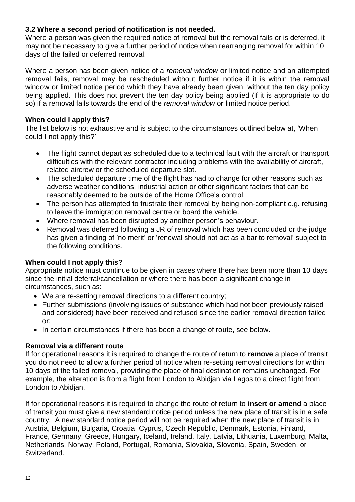### <span id="page-11-0"></span>**3.2 Where a second period of notification is not needed.**

Where a person was given the required notice of removal but the removal fails or is deferred, it may not be necessary to give a further period of notice when rearranging removal for within 10 days of the failed or deferred removal.

Where a person has been given notice of a *removal window* or limited notice and an attempted removal fails, removal may be rescheduled without further notice if it is within the removal window or limited notice period which they have already been given, without the ten day policy being applied. This does not prevent the ten day policy being applied (if it is appropriate to do so) if a removal fails towards the end of the *removal window* or limited notice period.

#### **When could I apply this?**

The list below is not exhaustive and is subject to the circumstances outlined below at, 'When could I not apply this?'

- The flight cannot depart as scheduled due to a technical fault with the aircraft or transport difficulties with the relevant contractor including problems with the availability of aircraft, related aircrew or the scheduled departure slot.
- The scheduled departure time of the flight has had to change for other reasons such as adverse weather conditions, industrial action or other significant factors that can be reasonably deemed to be outside of the Home Office's control.
- The person has attempted to frustrate their removal by being non-compliant e.g. refusing to leave the immigration removal centre or board the vehicle.
- Where removal has been disrupted by another person's behaviour.
- Removal was deferred following a JR of removal which has been concluded or the judge has given a finding of 'no merit' or 'renewal should not act as a bar to removal' subject to the following conditions.

### **When could I not apply this?**

Appropriate notice must continue to be given in cases where there has been more than 10 days since the initial deferral/cancellation or where there has been a significant change in circumstances, such as:

- We are re-setting removal directions to a different country;
- Further submissions (involving issues of substance which had not been previously raised and considered) have been received and refused since the earlier removal direction failed or;
- In certain circumstances if there has been a change of route, see below.

#### **Removal via a different route**

If for operational reasons it is required to change the route of return to **remove** a place of transit you do not need to allow a further period of notice when re-setting removal directions for within 10 days of the failed removal, providing the place of final destination remains unchanged. For example, the alteration is from a flight from London to Abidjan via Lagos to a direct flight from London to Abidjan.

If for operational reasons it is required to change the route of return to **insert or amend** a place of transit you must give a new standard notice period unless the new place of transit is in a safe country. A new standard notice period will not be required when the new place of transit is in Austria, Belgium, Bulgaria, Croatia, Cyprus, Czech Republic, Denmark, Estonia, Finland, France, Germany, Greece, Hungary, Iceland, Ireland, Italy, Latvia, Lithuania, Luxemburg, Malta, Netherlands, Norway, Poland, Portugal, Romania, Slovakia, Slovenia, Spain, Sweden, or Switzerland.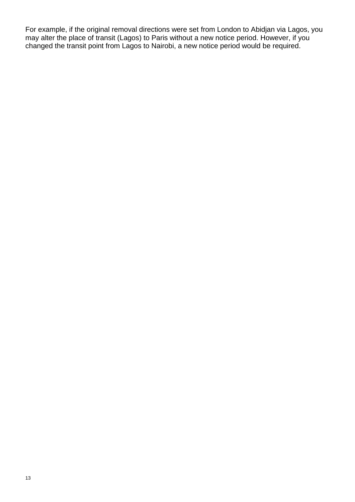For example, if the original removal directions were set from London to Abidjan via Lagos, you may alter the place of transit (Lagos) to Paris without a new notice period. However, if you changed the transit point from Lagos to Nairobi, a new notice period would be required.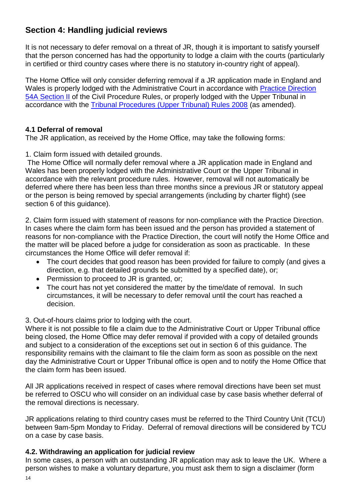# **Section 4: Handling judicial reviews**

It is not necessary to defer removal on a threat of JR, though it is important to satisfy yourself that the person concerned has had the opportunity to lodge a claim with the courts (particularly in certified or third country cases where there is no statutory in-country right of appeal).

The Home Office will only consider deferring removal if a JR application made in England and Wales is properly lodged with the Administrative Court in accordance with [Practice Direction](http://www.justice.gov.uk/courts/procedure-rules/civil/rules/part54/pd_part54a)  [54A Section II](http://www.justice.gov.uk/courts/procedure-rules/civil/rules/part54/pd_part54a) of the Civil Procedure Rules, or properly lodged with the Upper Tribunal in accordance with the [Tribunal Procedures \(Upper Tribunal\) Rules 2008](http://www.justice.gov.uk/tribunals/rules) (as amended).

### <span id="page-13-0"></span>**4.1 Deferral of removal**

The JR application, as received by the Home Office, may take the following forms:

1. Claim form issued with detailed grounds.

The Home Office will normally defer removal where a JR application made in England and Wales has been properly lodged with the Administrative Court or the Upper Tribunal in accordance with the relevant procedure rules. However, removal will not automatically be deferred where there has been less than three months since a previous JR or statutory appeal or the person is being removed by special arrangements (including by charter flight) (see section 6 of this guidance).

2. Claim form issued with statement of reasons for non-compliance with the Practice Direction. In cases where the claim form has been issued and the person has provided a statement of reasons for non-compliance with the Practice Direction, the court will notify the Home Office and the matter will be placed before a judge for consideration as soon as practicable. In these circumstances the Home Office will defer removal if:

- The court decides that good reason has been provided for failure to comply (and gives a direction, e.g. that detailed grounds be submitted by a specified date), or;
- Permission to proceed to JR is granted, or;
- The court has not yet considered the matter by the time/date of removal. In such circumstances, it will be necessary to defer removal until the court has reached a decision.
- 3. Out-of-hours claims prior to lodging with the court.

Where it is not possible to file a claim due to the Administrative Court or Upper Tribunal office being closed, the Home Office may defer removal if provided with a copy of detailed grounds and subject to a consideration of the exceptions set out in section 6 of this guidance. The responsibility remains with the claimant to file the claim form as soon as possible on the next day the Administrative Court or Upper Tribunal office is open and to notify the Home Office that the claim form has been issued.

All JR applications received in respect of cases where removal directions have been set must be referred to OSCU who will consider on an individual case by case basis whether deferral of the removal directions is necessary.

JR applications relating to third country cases must be referred to the Third Country Unit (TCU) between 9am-5pm Monday to Friday. Deferral of removal directions will be considered by TCU on a case by case basis.

# <span id="page-13-1"></span>**4.2. Withdrawing an application for judicial review**

In some cases, a person with an outstanding JR application may ask to leave the UK. Where a person wishes to make a voluntary departure, you must ask them to sign a disclaimer (form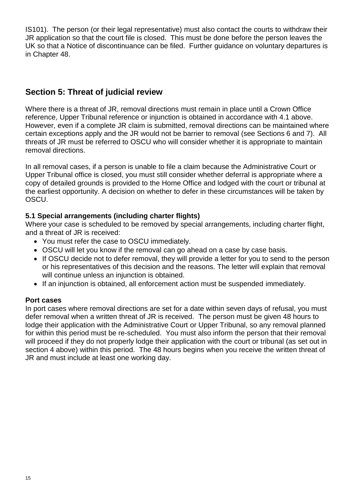IS101). The person (or their legal representative) must also contact the courts to withdraw their JR application so that the court file is closed. This must be done before the person leaves the UK so that a Notice of discontinuance can be filed. Further guidance on voluntary departures is in Chapter 48.

# <span id="page-14-0"></span>**Section 5: Threat of judicial review**

Where there is a threat of JR, removal directions must remain in place until a Crown Office reference, Upper Tribunal reference or injunction is obtained in accordance with 4.1 above. However, even if a complete JR claim is submitted, removal directions can be maintained where certain exceptions apply and the JR would not be barrier to removal (see Sections 6 and 7). All threats of JR must be referred to OSCU who will consider whether it is appropriate to maintain removal directions.

In all removal cases, if a person is unable to file a claim because the Administrative Court or Upper Tribunal office is closed, you must still consider whether deferral is appropriate where a copy of detailed grounds is provided to the Home Office and lodged with the court or tribunal at the earliest opportunity. A decision on whether to defer in these circumstances will be taken by OSCU.

## <span id="page-14-1"></span>**5.1 Special arrangements (including charter flights)**

Where your case is scheduled to be removed by special arrangements, including charter flight, and a threat of JR is received:

- You must refer the case to OSCU immediately.
- OSCU will let you know if the removal can go ahead on a case by case basis.
- If OSCU decide not to defer removal, they will provide a letter for you to send to the person or his representatives of this decision and the reasons. The letter will explain that removal will continue unless an injunction is obtained.
- If an injunction is obtained, all enforcement action must be suspended immediately.

#### <span id="page-14-2"></span>**Port cases**

In port cases where removal directions are set for a date within seven days of refusal, you must defer removal when a written threat of JR is received. The person must be given 48 hours to lodge their application with the Administrative Court or Upper Tribunal, so any removal planned for within this period must be re-scheduled. You must also inform the person that their removal will proceed if they do not properly lodge their application with the court or tribunal (as set out in section 4 above) within this period. The 48 hours begins when you receive the written threat of JR and must include at least one working day.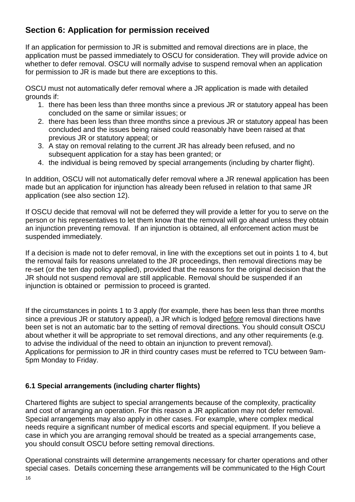# **Section 6: Application for permission received**

If an application for permission to JR is submitted and removal directions are in place, the application must be passed immediately to OSCU for consideration. They will provide advice on whether to defer removal. OSCU will normally advise to suspend removal when an application for permission to JR is made but there are exceptions to this.

OSCU must not automatically defer removal where a JR application is made with detailed grounds if:

- 1. there has been less than three months since a previous JR or statutory appeal has been concluded on the same or similar issues; or
- 2. there has been less than three months since a previous JR or statutory appeal has been concluded and the issues being raised could reasonably have been raised at that previous JR or statutory appeal; or
- 3. A stay on removal relating to the current JR has already been refused, and no subsequent application for a stay has been granted; or
- 4. the individual is being removed by special arrangements (including by charter flight).

In addition, OSCU will not automatically defer removal where a JR renewal application has been made but an application for injunction has already been refused in relation to that same JR application (see also section 12).

If OSCU decide that removal will not be deferred they will provide a letter for you to serve on the person or his representatives to let them know that the removal will go ahead unless they obtain an injunction preventing removal. If an injunction is obtained, all enforcement action must be suspended immediately.

If a decision is made not to defer removal, in line with the exceptions set out in points 1 to 4, but the removal fails for reasons unrelated to the JR proceedings, then removal directions may be re-set (or the ten day policy applied), provided that the reasons for the original decision that the JR should not suspend removal are still applicable. Removal should be suspended if an injunction is obtained or permission to proceed is granted.

If the circumstances in points 1 to 3 apply (for example, there has been less than three months since a previous JR or statutory appeal), a JR which is lodged before removal directions have been set is not an automatic bar to the setting of removal directions. You should consult OSCU about whether it will be appropriate to set removal directions, and any other requirements (e.g. to advise the individual of the need to obtain an injunction to prevent removal). Applications for permission to JR in third country cases must be referred to TCU between 9am-5pm Monday to Friday.

# <span id="page-15-0"></span>**6.1 Special arrangements (including charter flights)**

Chartered flights are subject to special arrangements because of the complexity, practicality and cost of arranging an operation. For this reason a JR application may not defer removal. Special arrangements may also apply in other cases. For example, where complex medical needs require a significant number of medical escorts and special equipment. If you believe a case in which you are arranging removal should be treated as a special arrangements case, you should consult OSCU before setting removal directions.

16 Operational constraints will determine arrangements necessary for charter operations and other special cases. Details concerning these arrangements will be communicated to the High Court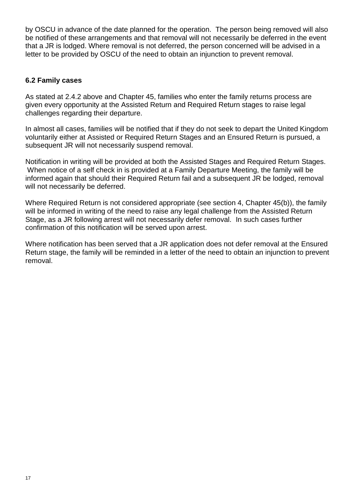by OSCU in advance of the date planned for the operation. The person being removed will also be notified of these arrangements and that removal will not necessarily be deferred in the event that a JR is lodged. Where removal is not deferred, the person concerned will be advised in a letter to be provided by OSCU of the need to obtain an injunction to prevent removal.

### <span id="page-16-0"></span>**6.2 Family cases**

As stated at 2.4.2 above and Chapter 45, families who enter the family returns process are given every opportunity at the Assisted Return and Required Return stages to raise legal challenges regarding their departure.

In almost all cases, families will be notified that if they do not seek to depart the United Kingdom voluntarily either at Assisted or Required Return Stages and an Ensured Return is pursued, a subsequent JR will not necessarily suspend removal.

Notification in writing will be provided at both the Assisted Stages and Required Return Stages. When notice of a self check in is provided at a Family Departure Meeting, the family will be informed again that should their Required Return fail and a subsequent JR be lodged, removal will not necessarily be deferred.

Where Required Return is not considered appropriate (see section 4, Chapter 45(b)), the family will be informed in writing of the need to raise any legal challenge from the Assisted Return Stage, as a JR following arrest will not necessarily defer removal. In such cases further confirmation of this notification will be served upon arrest.

Where notification has been served that a JR application does not defer removal at the Ensured Return stage, the family will be reminded in a letter of the need to obtain an injunction to prevent removal.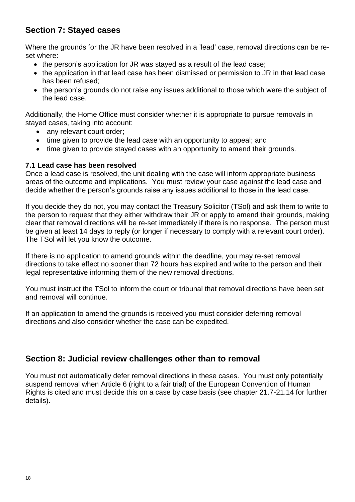# **Section 7: Stayed cases**

Where the grounds for the JR have been resolved in a 'lead' case, removal directions can be reset where:

- the person's application for JR was staved as a result of the lead case:
- the application in that lead case has been dismissed or permission to JR in that lead case has been refused;
- the person's grounds do not raise any issues additional to those which were the subject of the lead case.

Additionally, the Home Office must consider whether it is appropriate to pursue removals in stayed cases, taking into account:

- any relevant court order;
- time given to provide the lead case with an opportunity to appeal: and
- time given to provide stayed cases with an opportunity to amend their grounds.

#### <span id="page-17-0"></span>**7.1 Lead case has been resolved**

Once a lead case is resolved, the unit dealing with the case will inform appropriate business areas of the outcome and implications. You must review your case against the lead case and decide whether the person's grounds raise any issues additional to those in the lead case.

If you decide they do not, you may contact the Treasury Solicitor (TSol) and ask them to write to the person to request that they either withdraw their JR or apply to amend their grounds, making clear that removal directions will be re-set immediately if there is no response. The person must be given at least 14 days to reply (or longer if necessary to comply with a relevant court order). The TSol will let you know the outcome.

If there is no application to amend grounds within the deadline, you may re-set removal directions to take effect no sooner than 72 hours has expired and write to the person and their legal representative informing them of the new removal directions.

You must instruct the TSol to inform the court or tribunal that removal directions have been set and removal will continue.

If an application to amend the grounds is received you must consider deferring removal directions and also consider whether the case can be expedited.

# <span id="page-17-1"></span>**Section 8: Judicial review challenges other than to removal**

<span id="page-17-2"></span>You must not automatically defer removal directions in these cases. You must only potentially suspend removal when Article 6 (right to a fair trial) of the European Convention of Human Rights is cited and must decide this on a case by case basis (see chapter 21.7-21.14 for further details).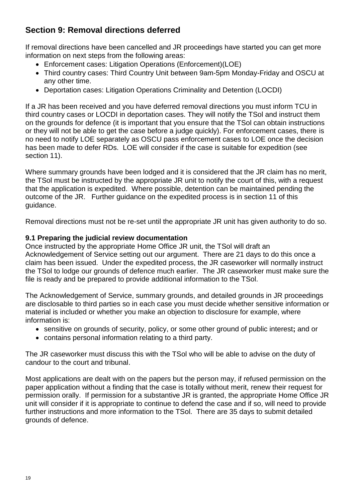# **Section 9: Removal directions deferred**

If removal directions have been cancelled and JR proceedings have started you can get more information on next steps from the following areas:

- Enforcement cases: Litigation Operations (Enforcement)(LOE)
- Third country cases: Third Country Unit between 9am-5pm Monday-Friday and OSCU at any other time.
- Deportation cases: Litigation Operations Criminality and Detention (LOCDI)

If a JR has been received and you have deferred removal directions you must inform TCU in third country cases or LOCDI in deportation cases. They will notify the TSol and instruct them on the grounds for defence (it is important that you ensure that the TSol can obtain instructions or they will not be able to get the case before a judge quickly). For enforcement cases, there is no need to notify LOE separately as OSCU pass enforcement cases to LOE once the decision has been made to defer RDs. LOE will consider if the case is suitable for expedition (see section 11).

Where summary grounds have been lodged and it is considered that the JR claim has no merit, the TSol must be instructed by the appropriate JR unit to notify the court of this, with a request that the application is expedited. Where possible, detention can be maintained pending the outcome of the JR. Further guidance on the expedited process is in section 11 of this guidance.

Removal directions must not be re-set until the appropriate JR unit has given authority to do so.

### <span id="page-18-0"></span>**9.1 Preparing the judicial review documentation**

Once instructed by the appropriate Home Office JR unit, the TSol will draft an Acknowledgement of Service setting out our argument. There are 21 days to do this once a claim has been issued. Under the expedited process, the JR caseworker will normally instruct the TSol to lodge our grounds of defence much earlier. The JR caseworker must make sure the file is ready and be prepared to provide additional information to the TSol.

The Acknowledgement of Service, summary grounds, and detailed grounds in JR proceedings are disclosable to third parties so in each case you must decide whether sensitive information or material is included or whether you make an objection to disclosure for example, where information is:

- sensitive on grounds of security, policy, or some other ground of public interest**;** and or
- contains personal information relating to a third party.

The JR caseworker must discuss this with the TSol who will be able to advise on the duty of candour to the court and tribunal.

Most applications are dealt with on the papers but the person may, if refused permission on the paper application without a finding that the case is totally without merit, renew their request for permission orally. If permission for a substantive JR is granted, the appropriate Home Office JR unit will consider if it is appropriate to continue to defend the case and if so, will need to provide further instructions and more information to the TSol. There are 35 days to submit detailed grounds of defence.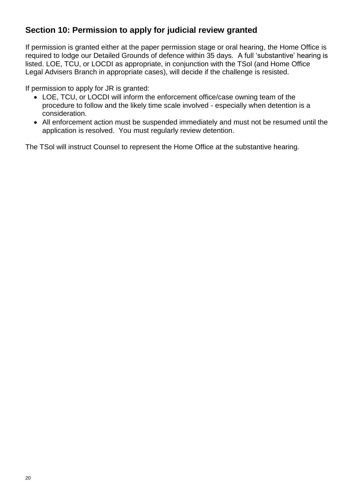# **Section 10: Permission to apply for judicial review granted**

If permission is granted either at the paper permission stage or oral hearing, the Home Office is required to lodge our Detailed Grounds of defence within 35 days. A full 'substantive' hearing is listed. LOE, TCU, or LOCDI as appropriate, in conjunction with the TSol (and Home Office Legal Advisers Branch in appropriate cases), will decide if the challenge is resisted.

If permission to apply for JR is granted:

- LOE, TCU, or LOCDI will inform the enforcement office/case owning team of the procedure to follow and the likely time scale involved - especially when detention is a consideration.
- All enforcement action must be suspended immediately and must not be resumed until the application is resolved. You must regularly review detention.

<span id="page-19-0"></span>The TSol will instruct Counsel to represent the Home Office at the substantive hearing.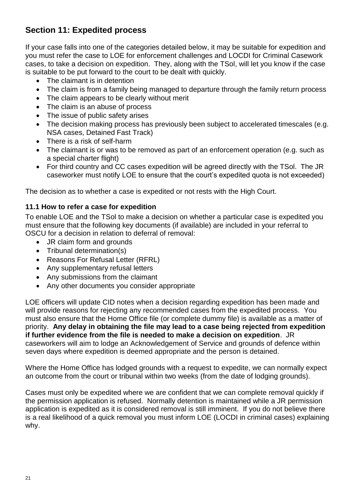# **Section 11: Expedited process**

If your case falls into one of the categories detailed below, it may be suitable for expedition and you must refer the case to LOE for enforcement challenges and LOCDI for Criminal Casework cases, to take a decision on expedition. They, along with the TSol, will let you know if the case is suitable to be put forward to the court to be dealt with quickly.

- The claimant is in detention
- The claim is from a family being managed to departure through the family return process
- The claim appears to be clearly without merit
- The claim is an abuse of process
- The issue of public safety arises
- The decision making process has previously been subject to accelerated timescales (e.g. NSA cases, Detained Fast Track)
- There is a risk of self-harm
- The claimant is or was to be removed as part of an enforcement operation (e.g. such as a special charter flight)
- For third country and CC cases expedition will be agreed directly with the TSol. The JR caseworker must notify LOE to ensure that the court's expedited quota is not exceeded)

The decision as to whether a case is expedited or not rests with the High Court.

### <span id="page-20-0"></span>**11.1 How to refer a case for expedition**

To enable LOE and the TSol to make a decision on whether a particular case is expedited you must ensure that the following key documents (if available) are included in your referral to OSCU for a decision in relation to deferral of removal:

- JR claim form and grounds
- Tribunal determination(s)
- Reasons For Refusal Letter (RFRL)
- Any supplementary refusal letters
- Any submissions from the claimant
- Any other documents you consider appropriate

LOE officers will update CID notes when a decision regarding expedition has been made and will provide reasons for rejecting any recommended cases from the expedited process. You must also ensure that the Home Office file (or complete dummy file) is available as a matter of priority. **Any delay in obtaining the file may lead to a case being rejected from expedition if further evidence from the file is needed to make a decision on expedition**. JR caseworkers will aim to lodge an Acknowledgement of Service and grounds of defence within seven days where expedition is deemed appropriate and the person is detained.

Where the Home Office has lodged grounds with a request to expedite, we can normally expect an outcome from the court or tribunal within two weeks (from the date of lodging grounds).

<span id="page-20-1"></span>Cases must only be expedited where we are confident that we can complete removal quickly if the permission application is refused. Normally detention is maintained while a JR permission application is expedited as it is considered removal is still imminent. If you do not believe there is a real likelihood of a quick removal you must inform LOE (LOCDI in criminal cases) explaining why.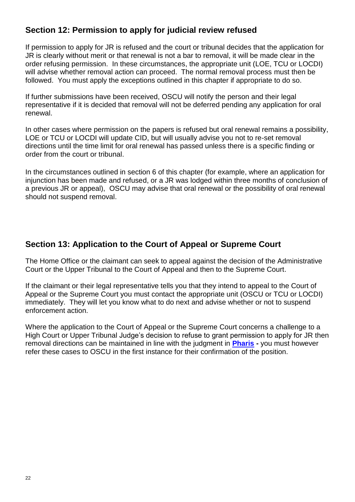# **Section 12: Permission to apply for judicial review refused**

If permission to apply for JR is refused and the court or tribunal decides that the application for JR is clearly without merit or that renewal is not a bar to removal, it will be made clear in the order refusing permission. In these circumstances, the appropriate unit (LOE, TCU or LOCDI) will advise whether removal action can proceed. The normal removal process must then be followed. You must apply the exceptions outlined in this chapter if appropriate to do so.

If further submissions have been received, OSCU will notify the person and their legal representative if it is decided that removal will not be deferred pending any application for oral renewal.

In other cases where permission on the papers is refused but oral renewal remains a possibility, LOE or TCU or LOCDI will update CID, but will usually advise you not to re-set removal directions until the time limit for oral renewal has passed unless there is a specific finding or order from the court or tribunal.

<span id="page-21-0"></span>In the circumstances outlined in section 6 of this chapter (for example, where an application for injunction has been made and refused, or a JR was lodged within three months of conclusion of a previous JR or appeal), OSCU may advise that oral renewal or the possibility of oral renewal should not suspend removal.

# **Section 13: Application to the Court of Appeal or Supreme Court**

The Home Office or the claimant can seek to appeal against the decision of the Administrative Court or the Upper Tribunal to the Court of Appeal and then to the Supreme Court.

If the claimant or their legal representative tells you that they intend to appeal to the Court of Appeal or the Supreme Court you must contact the appropriate unit (OSCU or TCU or LOCDI) immediately. They will let you know what to do next and advise whether or not to suspend enforcement action.

Where the application to the Court of Appeal or the Supreme Court concerns a challenge to a High Court or Upper Tribunal Judge's decision to refuse to grant permission to apply for JR then removal directions can be maintained in line with the judgment in **[Pharis](http://www.bailii.org/ew/cases/EWCA/Civ/2004/654.html) -** you must however refer these cases to OSCU in the first instance for their confirmation of the position.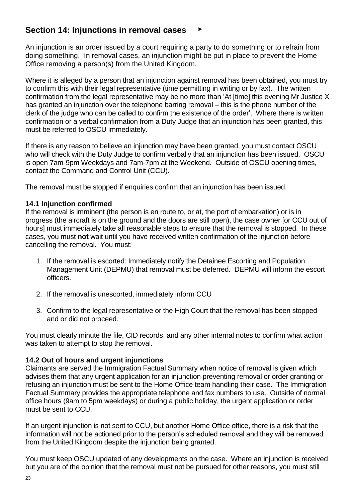# **Section 14: Injunctions in removal cases**

An injunction is an order issued by a court requiring a party to do something or to refrain from doing something. In removal cases, an injunction might be put in place to prevent the Home Office removing a person(s) from the United Kingdom.

Where it is alleged by a person that an injunction against removal has been obtained, you must try to confirm this with their legal representative (time permitting in writing or by fax). The written confirmation from the legal representative may be no more than 'At [time] this evening Mr Justice X has granted an injunction over the telephone barring removal – this is the phone number of the clerk of the judge who can be called to confirm the existence of the order'. Where there is written confirmation or a verbal confirmation from a Duty Judge that an injunction has been granted, this must be referred to OSCU immediately.

If there is any reason to believe an injunction may have been granted, you must contact OSCU who will check with the Duty Judge to confirm verbally that an injunction has been issued. OSCU is open 7am-9pm Weekdays and 7am-7pm at the Weekend. Outside of OSCU opening times, contact the Command and Control Unit (CCU).

The removal must be stopped if enquiries confirm that an injunction has been issued.

### <span id="page-22-0"></span>**14.1 Injunction confirmed**

If the removal is imminent (the person is en route to, or at, the port of embarkation) or is in progress (the aircraft is on the ground and the doors are still open), the case owner [or CCU out of hours] must immediately take all reasonable steps to ensure that the removal is stopped. In these cases, you must **not** wait until you have received written confirmation of the injunction before cancelling the removal. You must:

- 1. If the removal is escorted: Immediately notify the Detainee Escorting and Population Management Unit (DEPMU) that removal must be deferred. DEPMU will inform the escort officers.
- 2. If the removal is unescorted, immediately inform CCU
- 3. Confirm to the legal representative or the High Court that the removal has been stopped and or did not proceed.

You must clearly minute the file, CID records, and any other internal notes to confirm what action was taken to attempt to stop the removal.

### <span id="page-22-1"></span>**14.2 Out of hours and urgent injunctions**

Claimants are served the Immigration Factual Summary when notice of removal is given which advises them that any urgent application for an injunction preventing removal or order granting or refusing an injunction must be sent to the Home Office team handling their case. The Immigration Factual Summary provides the appropriate telephone and fax numbers to use. Outside of normal office hours (9am to 5pm weekdays) or during a public holiday, the urgent application or order must be sent to CCU.

If an urgent injunction is not sent to CCU, but another Home Office office, there is a risk that the information will not be actioned prior to the person's scheduled removal and they will be removed from the United Kingdom despite the injunction being granted.

You must keep OSCU updated of any developments on the case. Where an injunction is received but you are of the opinion that the removal must not be pursued for other reasons, you must still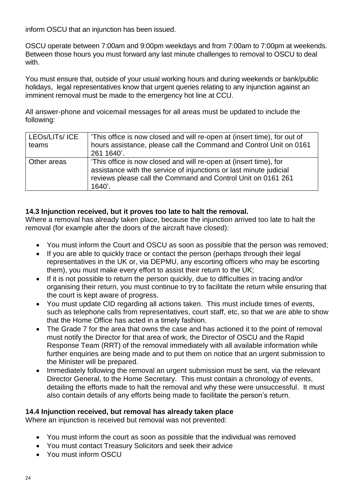inform OSCU that an injunction has been issued.

OSCU operate between 7:00am and 9:00pm weekdays and from 7:00am to 7:00pm at weekends. Between those hours you must forward any last minute challenges to removal to OSCU to deal with.

You must ensure that, outside of your usual working hours and during weekends or bank/public holidays, legal representatives know that urgent queries relating to any injunction against an imminent removal must be made to the emergency hot line at CCU.

All answer-phone and voicemail messages for all areas must be updated to include the following:

| LEOs/LITs/ ICE | 'This office is now closed and will re-open at (insert time), for out of |  |  |
|----------------|--------------------------------------------------------------------------|--|--|
| teams          | hours assistance, please call the Command and Control Unit on 0161       |  |  |
|                | 261 1640'.                                                               |  |  |
| Other areas    | 'This office is now closed and will re-open at (insert time), for        |  |  |
|                | assistance with the service of injunctions or last minute judicial       |  |  |
|                | reviews please call the Command and Control Unit on 0161 261             |  |  |
|                | 1640'.                                                                   |  |  |

### **14.3 Injunction received, but it proves too late to halt the removal.**

Where a removal has already taken place, because the injunction arrived too late to halt the removal (for example after the doors of the aircraft have closed):

- You must inform the Court and OSCU as soon as possible that the person was removed;
- If you are able to quickly trace or contact the person (perhaps through their legal representatives in the UK or, via DEPMU, any escorting officers who may be escorting them), you must make every effort to assist their return to the UK;
- If it is not possible to return the person quickly, due to difficulties in tracing and/or organising their return, you must continue to try to facilitate the return while ensuring that the court is kept aware of progress.
- You must update CID regarding all actions taken. This must include times of events, such as telephone calls from representatives, court staff, etc, so that we are able to show that the Home Office has acted in a timely fashion.
- The Grade 7 for the area that owns the case and has actioned it to the point of removal must notify the Director for that area of work, the Director of OSCU and the Rapid Response Team (RRT) of the removal immediately with all available information while further enquiries are being made and to put them on notice that an urgent submission to the Minister will be prepared.
- Immediately following the removal an urgent submission must be sent, via the relevant Director General, to the Home Secretary. This must contain a chronology of events, detailing the efforts made to halt the removal and why these were unsuccessful. It must also contain details of any efforts being made to facilitate the person's return.

#### **14.4 Injunction received, but removal has already taken place**

Where an injunction is received but removal was not prevented:

- You must inform the court as soon as possible that the individual was removed
- You must contact Treasury Solicitors and seek their advice
- You must inform OSCU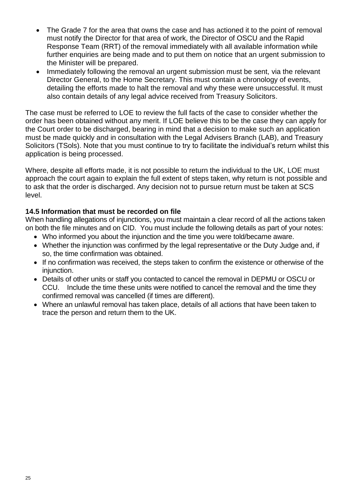- The Grade 7 for the area that owns the case and has actioned it to the point of removal must notify the Director for that area of work, the Director of OSCU and the Rapid Response Team (RRT) of the removal immediately with all available information while further enquiries are being made and to put them on notice that an urgent submission to the Minister will be prepared.
- Immediately following the removal an urgent submission must be sent, via the relevant Director General, to the Home Secretary. This must contain a chronology of events, detailing the efforts made to halt the removal and why these were unsuccessful. It must also contain details of any legal advice received from Treasury Solicitors.

The case must be referred to LOE to review the full facts of the case to consider whether the order has been obtained without any merit. If LOE believe this to be the case they can apply for the Court order to be discharged, bearing in mind that a decision to make such an application must be made quickly and in consultation with the Legal Advisers Branch (LAB), and Treasury Solicitors (TSols). Note that you must continue to try to facilitate the individual's return whilst this application is being processed.

Where, despite all efforts made, it is not possible to return the individual to the UK, LOE must approach the court again to explain the full extent of steps taken, why return is not possible and to ask that the order is discharged. Any decision not to pursue return must be taken at SCS level.

### <span id="page-24-0"></span>**14.5 Information that must be recorded on file**

When handling allegations of injunctions, you must maintain a clear record of all the actions taken on both the file minutes and on CID. You must include the following details as part of your notes:

- Who informed you about the injunction and the time you were told/became aware.
- Whether the injunction was confirmed by the legal representative or the Duty Judge and, if so, the time confirmation was obtained.
- If no confirmation was received, the steps taken to confirm the existence or otherwise of the injunction.
- Details of other units or staff you contacted to cancel the removal in DEPMU or OSCU or CCU. Include the time these units were notified to cancel the removal and the time they confirmed removal was cancelled (if times are different).
- <span id="page-24-1"></span> Where an unlawful removal has taken place, details of all actions that have been taken to trace the person and return them to the UK.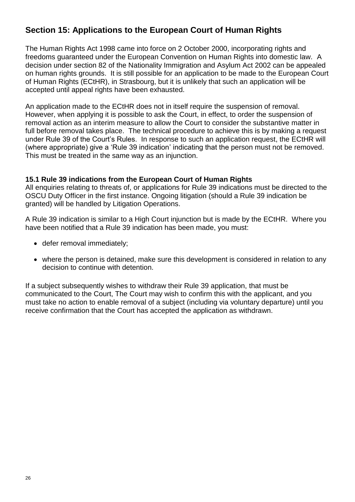# **Section 15: Applications to the European Court of Human Rights**

The Human Rights Act 1998 came into force on 2 October 2000, incorporating rights and freedoms guaranteed under the European Convention on Human Rights into domestic law. A decision under section 82 of the Nationality Immigration and Asylum Act 2002 can be appealed on human rights grounds. It is still possible for an application to be made to the European Court of Human Rights (ECtHR), in Strasbourg, but it is unlikely that such an application will be accepted until appeal rights have been exhausted.

An application made to the ECtHR does not in itself require the suspension of removal. However, when applying it is possible to ask the Court, in effect, to order the suspension of removal action as an interim measure to allow the Court to consider the substantive matter in full before removal takes place. The technical procedure to achieve this is by making a request under Rule 39 of the Court's Rules. In response to such an application request, the ECtHR will (where appropriate) give a 'Rule 39 indication' indicating that the person must not be removed. This must be treated in the same way as an injunction.

### <span id="page-25-0"></span>**15.1 Rule 39 indications from the European Court of Human Rights**

All enquiries relating to threats of, or applications for Rule 39 indications must be directed to the OSCU Duty Officer in the first instance. Ongoing litigation (should a Rule 39 indication be granted) will be handled by Litigation Operations.

A Rule 39 indication is similar to a High Court injunction but is made by the ECtHR. Where you have been notified that a Rule 39 indication has been made, you must:

- defer removal immediately;
- where the person is detained, make sure this development is considered in relation to any decision to continue with detention.

<span id="page-25-1"></span>If a subject subsequently wishes to withdraw their Rule 39 application, that must be communicated to the Court, The Court may wish to confirm this with the applicant, and you must take no action to enable removal of a subject (including via voluntary departure) until you receive confirmation that the Court has accepted the application as withdrawn.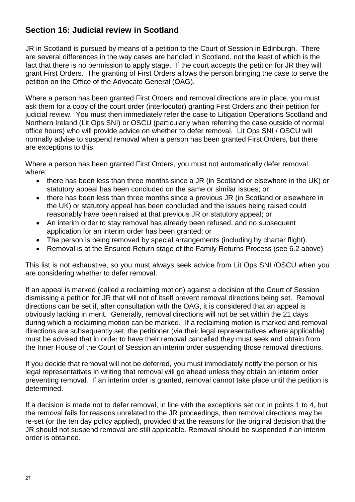# **Section 16: Judicial review in Scotland**

JR in Scotland is pursued by means of a petition to the Court of Session in Edinburgh. There are several differences in the way cases are handled in Scotland, not the least of which is the fact that there is no permission to apply stage. If the court accepts the petition for JR they will grant First Orders. The granting of First Orders allows the person bringing the case to serve the petition on the Office of the Advocate General (OAG).

Where a person has been granted First Orders and removal directions are in place, you must ask them for a copy of the court order (interlocutor) granting First Orders and their petition for judicial review. You must then immediately refer the case to Litigation Operations Scotland and Northern Ireland (Lit Ops SNI) or OSCU (particularly when referring the case outside of normal office hours) who will provide advice on whether to defer removal. Lit Ops SNI / OSCU will normally advise to suspend removal when a person has been granted First Orders, but there are exceptions to this.

Where a person has been granted First Orders, you must not automatically defer removal where:

- there has been less than three months since a JR (in Scotland or elsewhere in the UK) or statutory appeal has been concluded on the same or similar issues; or
- there has been less than three months since a previous JR (in Scotland or elsewhere in the UK) or statutory appeal has been concluded and the issues being raised could reasonably have been raised at that previous JR or statutory appeal; or
- An interim order to stay removal has already been refused, and no subsequent application for an interim order has been granted; or
- The person is being removed by special arrangements (including by charter flight).
- Removal is at the Ensured Return stage of the Family Returns Process (see 6.2 above)

This list is not exhaustive, so you must always seek advice from Lit Ops SNI /OSCU when you are considering whether to defer removal.

If an appeal is marked (called a reclaiming motion) against a decision of the Court of Session dismissing a petition for JR that will not of itself prevent removal directions being set. Removal directions can be set if, after consultation with the OAG, it is considered that an appeal is obviously lacking in merit. Generally, removal directions will not be set within the 21 days during which a reclaiming motion can be marked. If a reclaiming motion is marked and removal directions are subsequently set, the petitioner (via their legal representatives where applicable) must be advised that in order to have their removal cancelled they must seek and obtain from the Inner House of the Court of Session an interim order suspending those removal directions.

If you decide that removal will not be deferred, you must immediately notify the person or his legal representatives in writing that removal will go ahead unless they obtain an interim order preventing removal. If an interim order is granted, removal cannot take place until the petition is determined.

If a decision is made not to defer removal, in line with the exceptions set out in points 1 to 4, but the removal fails for reasons unrelated to the JR proceedings, then removal directions may be re-set (or the ten day policy applied), provided that the reasons for the original decision that the JR should not suspend removal are still applicable. Removal should be suspended if an interim order is obtained.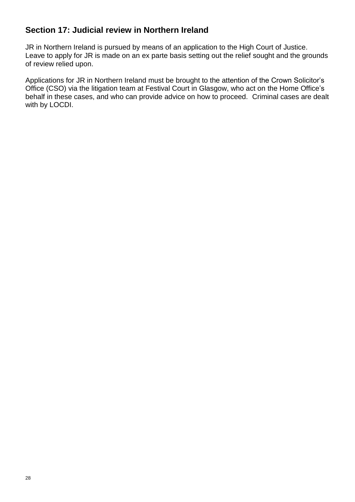# <span id="page-27-0"></span>**Section 17: Judicial review in Northern Ireland**

JR in Northern Ireland is pursued by means of an application to the High Court of Justice. Leave to apply for JR is made on an ex parte basis setting out the relief sought and the grounds of review relied upon.

Applications for JR in Northern Ireland must be brought to the attention of the Crown Solicitor's Office (CSO) via the litigation team at Festival Court in Glasgow, who act on the Home Office's behalf in these cases, and who can provide advice on how to proceed. Criminal cases are dealt with by LOCDI.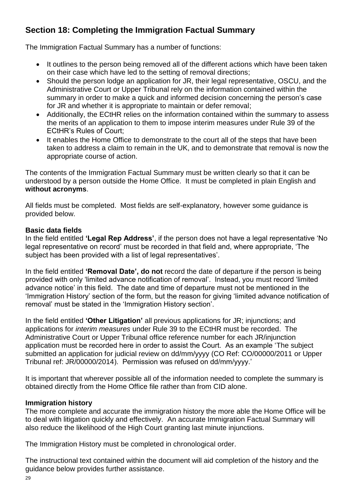# <span id="page-28-0"></span>**Section 18: Completing the Immigration Factual Summary**

The Immigration Factual Summary has a number of functions:

- It outlines to the person being removed all of the different actions which have been taken on their case which have led to the setting of removal directions;
- Should the person lodge an application for JR, their legal representative, OSCU, and the Administrative Court or Upper Tribunal rely on the information contained within the summary in order to make a quick and informed decision concerning the person's case for JR and whether it is appropriate to maintain or defer removal;
- Additionally, the ECtHR relies on the information contained within the summary to assess the merits of an application to them to impose interim measures under Rule 39 of the ECtHR's Rules of Court;
- It enables the Home Office to demonstrate to the court all of the steps that have been taken to address a claim to remain in the UK, and to demonstrate that removal is now the appropriate course of action.

The contents of the Immigration Factual Summary must be written clearly so that it can be understood by a person outside the Home Office. It must be completed in plain English and **without acronyms**.

All fields must be completed. Most fields are self-explanatory, however some guidance is provided below.

### **Basic data fields**

In the field entitled **'Legal Rep Address'**, if the person does not have a legal representative 'No legal representative on record' must be recorded in that field and, where appropriate, 'The subject has been provided with a list of legal representatives'.

In the field entitled **'Removal Date', do not** record the date of departure if the person is being provided with only 'limited advance notification of removal'. Instead, you must record 'limited advance notice' in this field. The date and time of departure must not be mentioned in the 'Immigration History' section of the form, but the reason for giving 'limited advance notification of removal' must be stated in the 'Immigration History section'.

In the field entitled **'Other Litigation'** all previous applications for JR; injunctions; and applications for *interim measures* under Rule 39 to the ECtHR must be recorded. The Administrative Court or Upper Tribunal office reference number for each JR/injunction application must be recorded here in order to assist the Court. As an example 'The subject submitted an application for judicial review on dd/mm/yyyy (CO Ref: CO/00000/2011 or Upper Tribunal ref: JR/00000/2014). Permission was refused on dd/mm/yyyy.'

It is important that wherever possible all of the information needed to complete the summary is obtained directly from the Home Office file rather than from CID alone.

### **Immigration history**

The more complete and accurate the immigration history the more able the Home Office will be to deal with litigation quickly and effectively. An accurate Immigration Factual Summary will also reduce the likelihood of the High Court granting last minute injunctions.

The Immigration History must be completed in chronological order.

The instructional text contained within the document will aid completion of the history and the guidance below provides further assistance.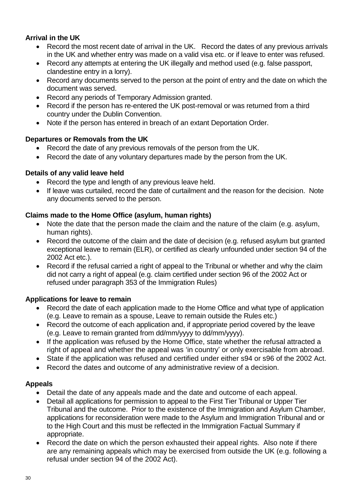# **Arrival in the UK**

- Record the most recent date of arrival in the UK. Record the dates of any previous arrivals in the UK and whether entry was made on a valid visa etc. or if leave to enter was refused.
- Record any attempts at entering the UK illegally and method used (e.g. false passport, clandestine entry in a lorry).
- Record any documents served to the person at the point of entry and the date on which the document was served.
- Record any periods of Temporary Admission granted.
- Record if the person has re-entered the UK post-removal or was returned from a third country under the Dublin Convention.
- Note if the person has entered in breach of an extant Deportation Order.

### **Departures or Removals from the UK**

- Record the date of any previous removals of the person from the UK.
- Record the date of any voluntary departures made by the person from the UK.

### **Details of any valid leave held**

- Record the type and length of any previous leave held.
- If leave was curtailed, record the date of curtailment and the reason for the decision. Note any documents served to the person.

### **Claims made to the Home Office (asylum, human rights)**

- Note the date that the person made the claim and the nature of the claim (e.g. asylum, human rights).
- Record the outcome of the claim and the date of decision (e.g. refused asylum but granted exceptional leave to remain (ELR), or certified as clearly unfounded under section 94 of the 2002 Act etc.).
- Record if the refusal carried a right of appeal to the Tribunal or whether and why the claim did not carry a right of appeal (e.g. claim certified under section 96 of the 2002 Act or refused under paragraph 353 of the Immigration Rules)

### **Applications for leave to remain**

- Record the date of each application made to the Home Office and what type of application (e.g. Leave to remain as a spouse, Leave to remain outside the Rules etc.)
- Record the outcome of each application and, if appropriate period covered by the leave (e.g. Leave to remain granted from dd/mm/yyyy to dd/mm/yyyy).
- If the application was refused by the Home Office, state whether the refusal attracted a right of appeal and whether the appeal was 'in country' or only exercisable from abroad.
- State if the application was refused and certified under either s94 or s96 of the 2002 Act.
- Record the dates and outcome of any administrative review of a decision.

#### **Appeals**

- Detail the date of any appeals made and the date and outcome of each appeal.
- Detail all applications for permission to appeal to the First Tier Tribunal or Upper Tier Tribunal and the outcome. Prior to the existence of the Immigration and Asylum Chamber, applications for reconsideration were made to the Asylum and Immigration Tribunal and or to the High Court and this must be reflected in the Immigration Factual Summary if appropriate.
- Record the date on which the person exhausted their appeal rights. Also note if there are any remaining appeals which may be exercised from outside the UK (e.g. following a refusal under section 94 of the 2002 Act).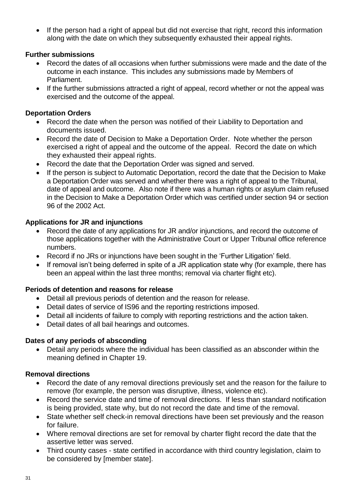If the person had a right of appeal but did not exercise that right, record this information along with the date on which they subsequently exhausted their appeal rights.

### **Further submissions**

- Record the dates of all occasions when further submissions were made and the date of the outcome in each instance. This includes any submissions made by Members of Parliament.
- If the further submissions attracted a right of appeal, record whether or not the appeal was exercised and the outcome of the appeal.

#### **Deportation Orders**

- Record the date when the person was notified of their Liability to Deportation and documents issued.
- Record the date of Decision to Make a Deportation Order. Note whether the person exercised a right of appeal and the outcome of the appeal. Record the date on which they exhausted their appeal rights.
- Record the date that the Deportation Order was signed and served.
- If the person is subject to Automatic Deportation, record the date that the Decision to Make a Deportation Order was served and whether there was a right of appeal to the Tribunal, date of appeal and outcome. Also note if there was a human rights or asylum claim refused in the Decision to Make a Deportation Order which was certified under section 94 or section 96 of the 2002 Act.

### **Applications for JR and injunctions**

- Record the date of any applications for JR and/or injunctions, and record the outcome of those applications together with the Administrative Court or Upper Tribunal office reference numbers.
- Record if no JRs or injunctions have been sought in the 'Further Litigation' field.
- If removal isn't being deferred in spite of a JR application state why (for example, there has been an appeal within the last three months; removal via charter flight etc).

#### **Periods of detention and reasons for release**

- Detail all previous periods of detention and the reason for release.
- Detail dates of service of IS96 and the reporting restrictions imposed.
- Detail all incidents of failure to comply with reporting restrictions and the action taken.
- Detail dates of all bail hearings and outcomes.

#### **Dates of any periods of absconding**

 Detail any periods where the individual has been classified as an absconder within the meaning defined in Chapter 19.

#### **Removal directions**

- Record the date of any removal directions previously set and the reason for the failure to remove (for example, the person was disruptive, illness, violence etc).
- Record the service date and time of removal directions. If less than standard notification is being provided, state why, but do not record the date and time of the removal.
- State whether self check-in removal directions have been set previously and the reason for failure.
- Where removal directions are set for removal by charter flight record the date that the assertive letter was served.
- Third county cases state certified in accordance with third country legislation, claim to be considered by [member state].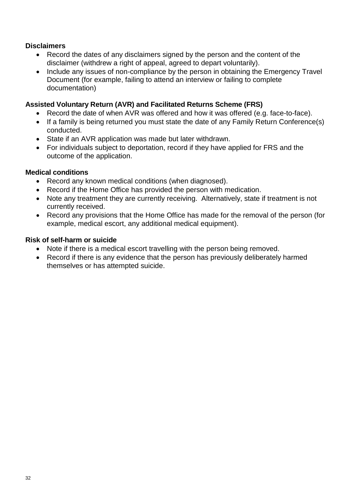### **Disclaimers**

- Record the dates of any disclaimers signed by the person and the content of the disclaimer (withdrew a right of appeal, agreed to depart voluntarily).
- Include any issues of non-compliance by the person in obtaining the Emergency Travel Document (for example, failing to attend an interview or failing to complete documentation)

## **Assisted Voluntary Return (AVR) and Facilitated Returns Scheme (FRS)**

- Record the date of when AVR was offered and how it was offered (e.g. face-to-face).
- If a family is being returned you must state the date of any Family Return Conference(s) conducted.
- State if an AVR application was made but later withdrawn.
- For individuals subject to deportation, record if they have applied for FRS and the outcome of the application.

### **Medical conditions**

- Record any known medical conditions (when diagnosed).
- Record if the Home Office has provided the person with medication.
- Note any treatment they are currently receiving. Alternatively, state if treatment is not currently received.
- Record any provisions that the Home Office has made for the removal of the person (for example, medical escort, any additional medical equipment).

## **Risk of self-harm or suicide**

- Note if there is a medical escort travelling with the person being removed.
- Record if there is any evidence that the person has previously deliberately harmed themselves or has attempted suicide.